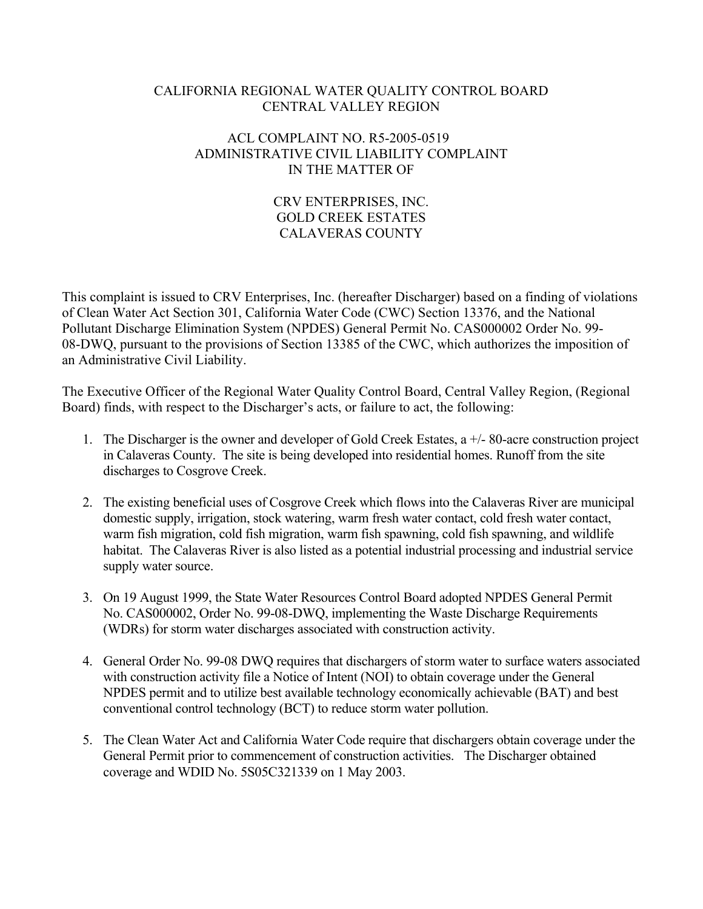### CALIFORNIA REGIONAL WATER QUALITY CONTROL BOARD CENTRAL VALLEY REGION

## ACL COMPLAINT NO. R5-2005-0519 ADMINISTRATIVE CIVIL LIABILITY COMPLAINT IN THE MATTER OF

## CRV ENTERPRISES, INC. GOLD CREEK ESTATES CALAVERAS COUNTY

This complaint is issued to CRV Enterprises, Inc. (hereafter Discharger) based on a finding of violations of Clean Water Act Section 301, California Water Code (CWC) Section 13376, and the National Pollutant Discharge Elimination System (NPDES) General Permit No. CAS000002 Order No. 99- 08-DWQ, pursuant to the provisions of Section 13385 of the CWC, which authorizes the imposition of an Administrative Civil Liability.

The Executive Officer of the Regional Water Quality Control Board, Central Valley Region, (Regional Board) finds, with respect to the Discharger's acts, or failure to act, the following:

- 1. The Discharger is the owner and developer of Gold Creek Estates, a +/- 80-acre construction project in Calaveras County. The site is being developed into residential homes. Runoff from the site discharges to Cosgrove Creek.
- 2. The existing beneficial uses of Cosgrove Creek which flows into the Calaveras River are municipal domestic supply, irrigation, stock watering, warm fresh water contact, cold fresh water contact, warm fish migration, cold fish migration, warm fish spawning, cold fish spawning, and wildlife habitat. The Calaveras River is also listed as a potential industrial processing and industrial service supply water source.
- 3. On 19 August 1999, the State Water Resources Control Board adopted NPDES General Permit No. CAS000002, Order No. 99-08-DWQ, implementing the Waste Discharge Requirements (WDRs) for storm water discharges associated with construction activity.
- 4. General Order No. 99-08 DWQ requires that dischargers of storm water to surface waters associated with construction activity file a Notice of Intent (NOI) to obtain coverage under the General NPDES permit and to utilize best available technology economically achievable (BAT) and best conventional control technology (BCT) to reduce storm water pollution.
- 5. The Clean Water Act and California Water Code require that dischargers obtain coverage under the General Permit prior to commencement of construction activities. The Discharger obtained coverage and WDID No. 5S05C321339 on 1 May 2003.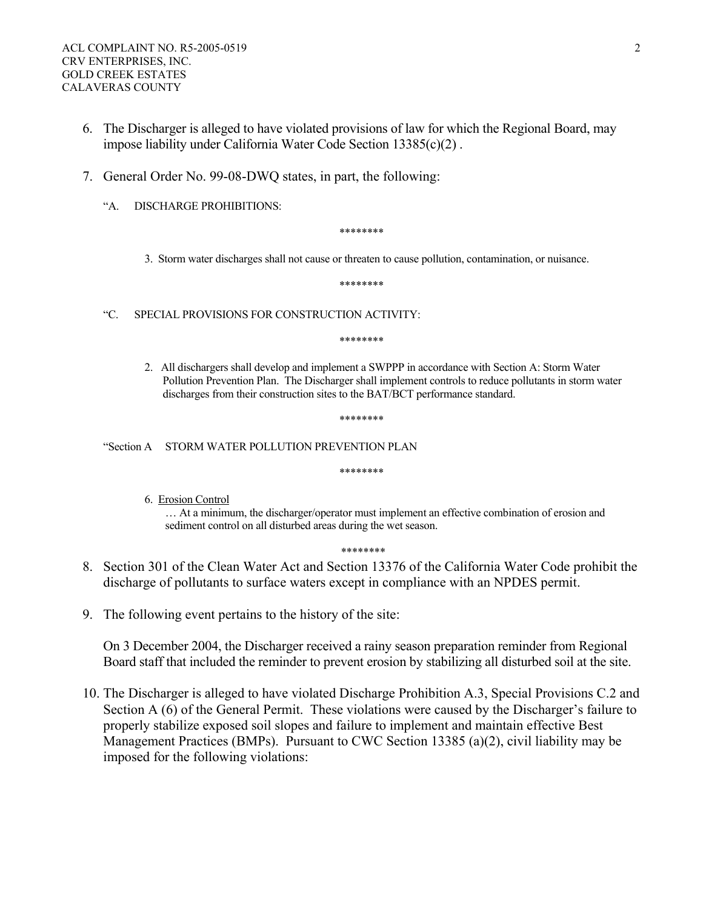- 6. The Discharger is alleged to have violated provisions of law for which the Regional Board, may impose liability under California Water Code Section 13385(c)(2) .
- 7. General Order No. 99-08-DWQ states, in part, the following:
	- "A. DISCHARGE PROHIBITIONS:

\*\*\*\*\*\*\*\*

3. Storm water discharges shall not cause or threaten to cause pollution, contamination, or nuisance.

\*\*\*\*\*\*\*\*

"C. SPECIAL PROVISIONS FOR CONSTRUCTION ACTIVITY:

\*\*\*\*\*\*\*\*

 2. All dischargers shall develop and implement a SWPPP in accordance with Section A: Storm Water Pollution Prevention Plan. The Discharger shall implement controls to reduce pollutants in storm water discharges from their construction sites to the BAT/BCT performance standard.

\*\*\*\*\*\*\*\*

"Section A STORM WATER POLLUTION PREVENTION PLAN

\*\*\*\*\*\*\*\*

6. Erosion Control

… At a minimum, the discharger/operator must implement an effective combination of erosion and sediment control on all disturbed areas during the wet season.

\*\*\*\*\*\*\*\*

- 8. Section 301 of the Clean Water Act and Section 13376 of the California Water Code prohibit the discharge of pollutants to surface waters except in compliance with an NPDES permit.
- 9. The following event pertains to the history of the site:

On 3 December 2004, the Discharger received a rainy season preparation reminder from Regional Board staff that included the reminder to prevent erosion by stabilizing all disturbed soil at the site.

10. The Discharger is alleged to have violated Discharge Prohibition A.3, Special Provisions C.2 and Section A (6) of the General Permit. These violations were caused by the Discharger's failure to properly stabilize exposed soil slopes and failure to implement and maintain effective Best Management Practices (BMPs). Pursuant to CWC Section 13385 (a)(2), civil liability may be imposed for the following violations: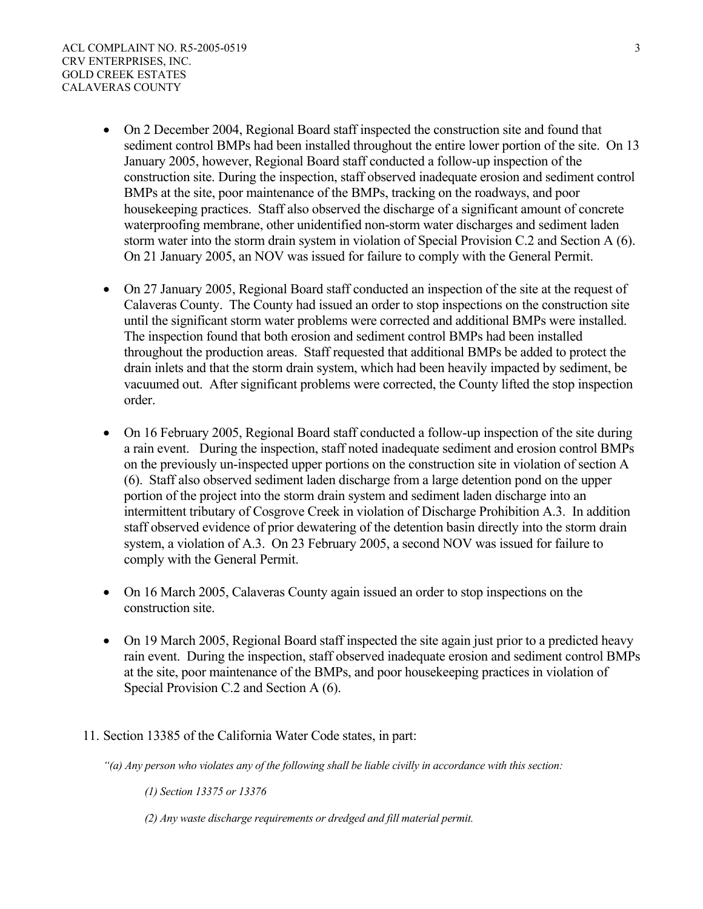- On 2 December 2004, Regional Board staff inspected the construction site and found that sediment control BMPs had been installed throughout the entire lower portion of the site. On 13 January 2005, however, Regional Board staff conducted a follow-up inspection of the construction site. During the inspection, staff observed inadequate erosion and sediment control BMPs at the site, poor maintenance of the BMPs, tracking on the roadways, and poor housekeeping practices. Staff also observed the discharge of a significant amount of concrete waterproofing membrane, other unidentified non-storm water discharges and sediment laden storm water into the storm drain system in violation of Special Provision C.2 and Section A (6). On 21 January 2005, an NOV was issued for failure to comply with the General Permit.
- On 27 January 2005, Regional Board staff conducted an inspection of the site at the request of Calaveras County. The County had issued an order to stop inspections on the construction site until the significant storm water problems were corrected and additional BMPs were installed. The inspection found that both erosion and sediment control BMPs had been installed throughout the production areas. Staff requested that additional BMPs be added to protect the drain inlets and that the storm drain system, which had been heavily impacted by sediment, be vacuumed out. After significant problems were corrected, the County lifted the stop inspection order.
- On 16 February 2005, Regional Board staff conducted a follow-up inspection of the site during a rain event. During the inspection, staff noted inadequate sediment and erosion control BMPs on the previously un-inspected upper portions on the construction site in violation of section A (6). Staff also observed sediment laden discharge from a large detention pond on the upper portion of the project into the storm drain system and sediment laden discharge into an intermittent tributary of Cosgrove Creek in violation of Discharge Prohibition A.3. In addition staff observed evidence of prior dewatering of the detention basin directly into the storm drain system, a violation of A.3. On 23 February 2005, a second NOV was issued for failure to comply with the General Permit.
- On 16 March 2005, Calaveras County again issued an order to stop inspections on the construction site.
- On 19 March 2005, Regional Board staff inspected the site again just prior to a predicted heavy rain event. During the inspection, staff observed inadequate erosion and sediment control BMPs at the site, poor maintenance of the BMPs, and poor housekeeping practices in violation of Special Provision C.2 and Section A (6).
- 11. Section 13385 of the California Water Code states, in part:

 *"(a) Any person who violates any of the following shall be liable civilly in accordance with this section:* 

*(1) Section 13375 or 13376* 

*(2) Any waste discharge requirements or dredged and fill material permit.*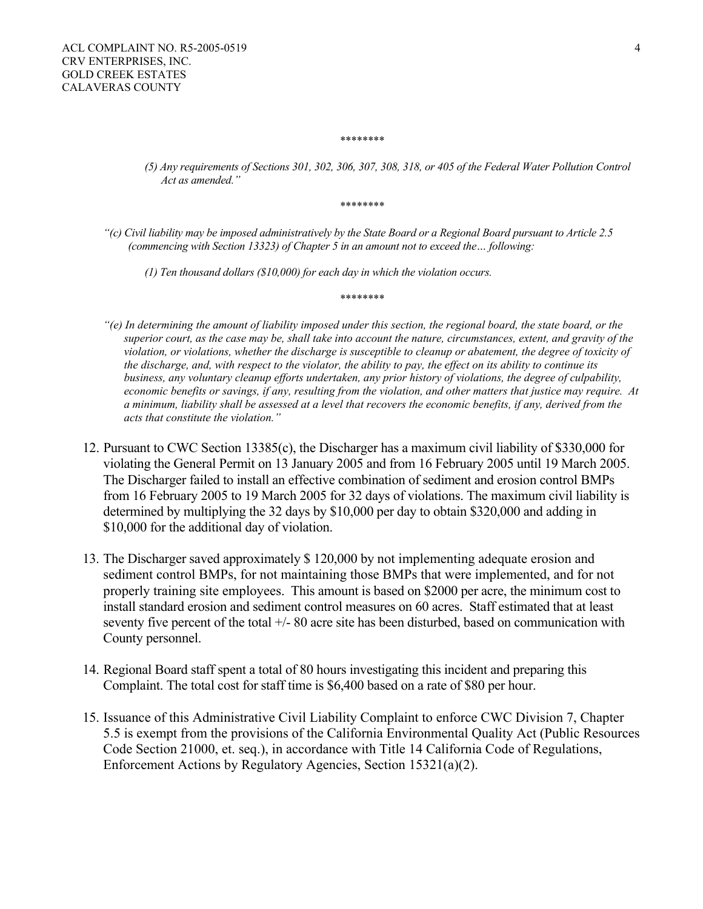#### *\*\*\*\*\*\*\*\**

*(5) Any requirements of Sections 301, 302, 306, 307, 308, 318, or 405 of the Federal Water Pollution Control Act as amended."* 

*\*\*\*\*\*\*\*\** 

 *"(c) Civil liability may be imposed administratively by the State Board or a Regional Board pursuant to Article 2.5 (commencing with Section 13323) of Chapter 5 in an amount not to exceed the… following:* 

*\*\*\*\*\*\*\*\** 

- *(1) Ten thousand dollars (\$10,000) for each day in which the violation occurs.*
- *"(e) In determining the amount of liability imposed under this section, the regional board, the state board, or the superior court, as the case may be, shall take into account the nature, circumstances, extent, and gravity of the violation, or violations, whether the discharge is susceptible to cleanup or abatement, the degree of toxicity of the discharge, and, with respect to the violator, the ability to pay, the effect on its ability to continue its business, any voluntary cleanup efforts undertaken, any prior history of violations, the degree of culpability, economic benefits or savings, if any, resulting from the violation, and other matters that justice may require. At a minimum, liability shall be assessed at a level that recovers the economic benefits, if any, derived from the acts that constitute the violation."*
- 12. Pursuant to CWC Section 13385(c), the Discharger has a maximum civil liability of \$330,000 for violating the General Permit on 13 January 2005 and from 16 February 2005 until 19 March 2005. The Discharger failed to install an effective combination of sediment and erosion control BMPs from 16 February 2005 to 19 March 2005 for 32 days of violations. The maximum civil liability is determined by multiplying the 32 days by \$10,000 per day to obtain \$320,000 and adding in \$10,000 for the additional day of violation.
- 13. The Discharger saved approximately \$ 120,000 by not implementing adequate erosion and sediment control BMPs, for not maintaining those BMPs that were implemented, and for not properly training site employees. This amount is based on \$2000 per acre, the minimum cost to install standard erosion and sediment control measures on 60 acres. Staff estimated that at least seventy five percent of the total  $+/- 80$  acre site has been disturbed, based on communication with County personnel.
- 14. Regional Board staff spent a total of 80 hours investigating this incident and preparing this Complaint. The total cost for staff time is \$6,400 based on a rate of \$80 per hour.
- 15. Issuance of this Administrative Civil Liability Complaint to enforce CWC Division 7, Chapter 5.5 is exempt from the provisions of the California Environmental Quality Act (Public Resources Code Section 21000, et. seq.), in accordance with Title 14 California Code of Regulations, Enforcement Actions by Regulatory Agencies, Section 15321(a)(2).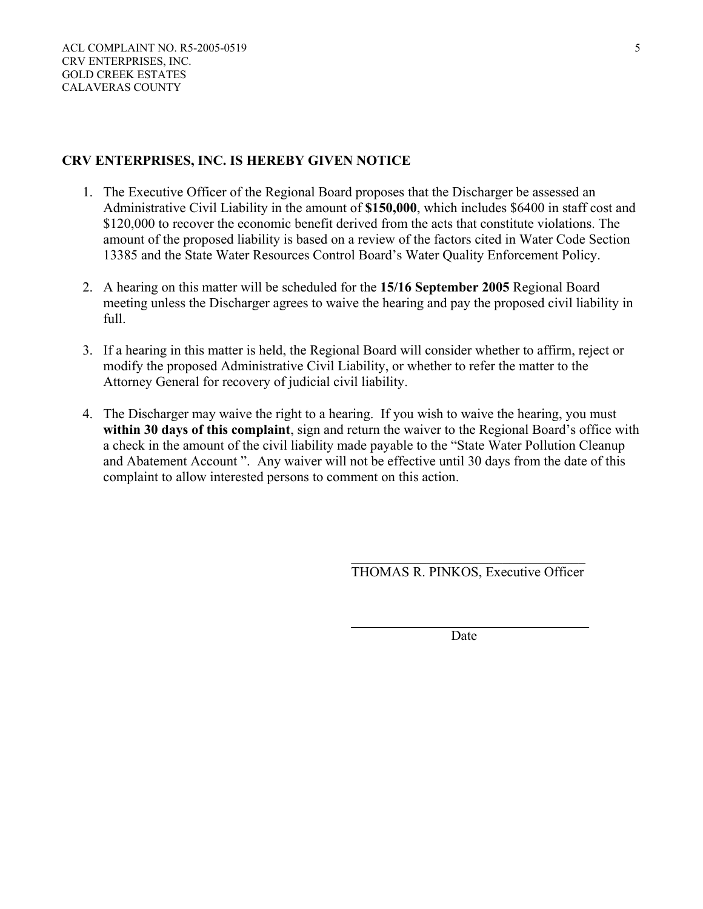# **CRV ENTERPRISES, INC. IS HEREBY GIVEN NOTICE**

- 1. The Executive Officer of the Regional Board proposes that the Discharger be assessed an Administrative Civil Liability in the amount of **\$150,000**, which includes \$6400 in staff cost and \$120,000 to recover the economic benefit derived from the acts that constitute violations. The amount of the proposed liability is based on a review of the factors cited in Water Code Section 13385 and the State Water Resources Control Board's Water Quality Enforcement Policy.
- 2. A hearing on this matter will be scheduled for the **15/16 September 2005** Regional Board meeting unless the Discharger agrees to waive the hearing and pay the proposed civil liability in full.
- 3. If a hearing in this matter is held, the Regional Board will consider whether to affirm, reject or modify the proposed Administrative Civil Liability, or whether to refer the matter to the Attorney General for recovery of judicial civil liability.
- 4. The Discharger may waive the right to a hearing. If you wish to waive the hearing, you must **within 30 days of this complaint**, sign and return the waiver to the Regional Board's office with a check in the amount of the civil liability made payable to the "State Water Pollution Cleanup and Abatement Account ". Any waiver will not be effective until 30 days from the date of this complaint to allow interested persons to comment on this action.

 $\mathcal{L}_\text{max}$  and  $\mathcal{L}_\text{max}$  and  $\mathcal{L}_\text{max}$  and  $\mathcal{L}_\text{max}$  and  $\mathcal{L}_\text{max}$  and  $\mathcal{L}_\text{max}$ 

THOMAS R. PINKOS, Executive Officer

Date